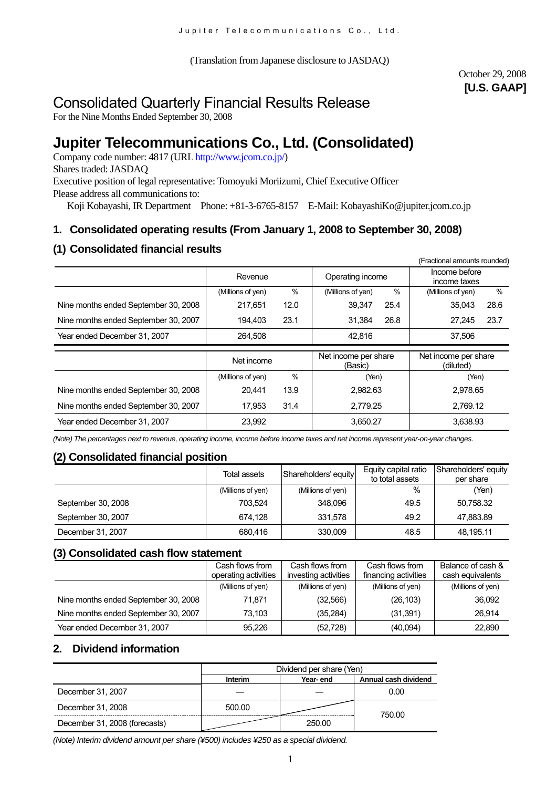(Translation from Japanese disclosure to JASDAQ)

# October 29, 2008 **[U.S. GAAP]**

# Consolidated Quarterly Financial Results Release

For the Nine Months Ended September 30, 2008

# **Jupiter Telecommunications Co., Ltd. (Consolidated)**

Company code number: 4817 (URL http://www.jcom.co.jp/) Shares traded: JASDAQ Executive position of legal representative: Tomoyuki Moriizumi, Chief Executive Officer Please address all communications to: Koji Kobayashi, IR Department Phone: +81-3-6765-8157 E-Mail: KobayashiKo@jupiter.jcom.co.jp

# **1. Consolidated operating results (From January 1, 2008 to September 30, 2008)**

# **(1) Consolidated financial results**

|                                      |                   |      |                                 |      | (Fractional amounts rounded)      |      |
|--------------------------------------|-------------------|------|---------------------------------|------|-----------------------------------|------|
|                                      | Revenue           |      | Operating income                |      | Income before<br>income taxes     |      |
|                                      | (Millions of yen) | $\%$ | (Millions of yen)               | $\%$ | (Millions of yen)                 | $\%$ |
| Nine months ended September 30, 2008 | 217,651           | 12.0 | 39,347                          | 25.4 | 35,043                            | 28.6 |
| Nine months ended September 30, 2007 | 194.403           | 23.1 | 31.384                          | 26.8 | 27.245                            | 23.7 |
| Year ended December 31, 2007         | 264.508           |      | 42.816                          |      | 37.506                            |      |
|                                      |                   |      |                                 |      |                                   |      |
|                                      |                   |      |                                 |      |                                   |      |
|                                      | Net income        |      | Net income per share<br>(Basic) |      | Net income per share<br>(diluted) |      |
|                                      | (Millions of yen) | %    | (Yen)                           |      | (Yen)                             |      |
| Nine months ended September 30, 2008 | 20,441            | 13.9 | 2,982.63                        |      | 2.978.65                          |      |
| Nine months ended September 30, 2007 | 17.953            | 31.4 | 2.779.25                        |      | 2.769.12                          |      |

*(Note) The percentages next to revenue, operating income, income before income taxes and net income represent year-on-year changes.*

# **(2) Consolidated financial position**

|                    | Total assets      | Shareholders' equity | Equity capital ratio<br>to total assets | Shareholders' equity<br>per share |
|--------------------|-------------------|----------------------|-----------------------------------------|-----------------------------------|
|                    | (Millions of yen) | (Millions of yen)    | $\%$                                    | (Yen)                             |
| September 30, 2008 | 703.524           | 348,096              | 49.5                                    | 50,758.32                         |
| September 30, 2007 | 674.128           | 331,578              | 49.2                                    | 47,883.89                         |
| December 31, 2007  | 680.416           | 330,009              | 48.5                                    | 48,195.11                         |

# **(3) Consolidated cash flow statement**

|                                      | Cash flows from      | Cash flows from      | Cash flows from      | Balance of cash & |
|--------------------------------------|----------------------|----------------------|----------------------|-------------------|
|                                      | operating activities | investing activities | financing activities | cash equivalents  |
|                                      | (Millions of yen)    | (Millions of yen)    | (Millions of yen)    | (Millions of yen) |
| Nine months ended September 30, 2008 | 71.871               | (32, 566)            | (26, 103)            | 36,092            |
| Nine months ended September 30, 2007 | 73.103               | (35, 284)            | (31, 391)            | 26.914            |
| Year ended December 31, 2007         | 95.226               | (52, 728)            | (40,094)             | 22,890            |

# **2. Dividend information**

|                               | Dividend per share (Yen)<br>Annual cash dividend<br>Interim<br>Year- end |        |        |  |  |
|-------------------------------|--------------------------------------------------------------------------|--------|--------|--|--|
|                               |                                                                          |        |        |  |  |
| December 31, 2007             |                                                                          |        | 0.00   |  |  |
| December 31, 2008             | 500.00                                                                   |        | 750.00 |  |  |
| December 31, 2008 (forecasts) |                                                                          | 250.00 |        |  |  |

*(Note) Interim dividend amount per share (¥500) includes ¥250 as a special dividend.*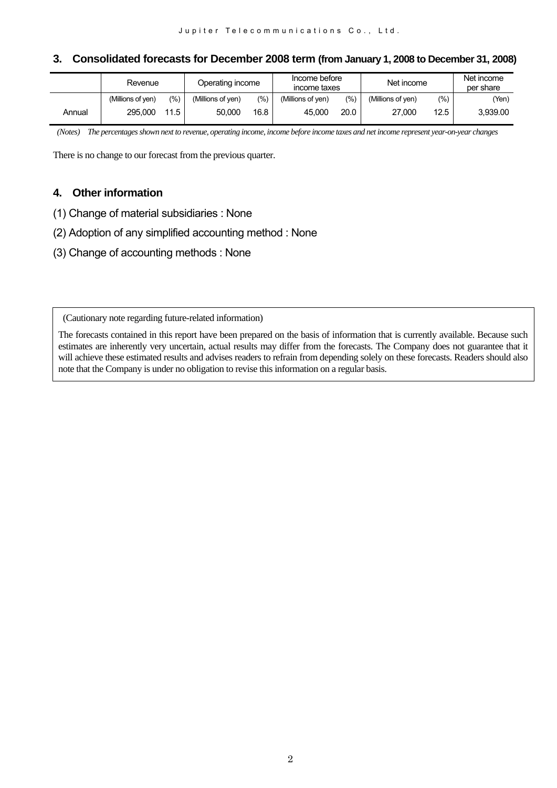# **3. Consolidated forecasts for December 2008 term (from January 1, 2008 to December 31, 2008)**

|        | Revenue           |      | Operating income  |       | Income before<br>income taxes |       | Net income        |       | Net income<br>per share |
|--------|-------------------|------|-------------------|-------|-------------------------------|-------|-------------------|-------|-------------------------|
|        | (Millions of ven) | (%)  | (Millions of ven) | (9/0) | (Millions of ven)             | (9/0) | (Millions of ven) | (9/0) | Yen)                    |
| Annual | 295.000           | 11.5 | 50.000            | 16.8  | 45.000                        | 20.0  | 27.000            | 12.5  | 3,939.00                |

 *(Notes) The percentages shown next to revenue, operating income, income before income taxes and net income represent year-on-year changes* 

There is no change to our forecast from the previous quarter.

# **4. Other information**

- (1) Change of material subsidiaries : None
- (2) Adoption of any simplified accounting method : None
- (3) Change of accounting methods : None

(Cautionary note regarding future-related information)

The forecasts contained in this report have been prepared on the basis of information that is currently available. Because such estimates are inherently very uncertain, actual results may differ from the forecasts. The Company does not guarantee that it will achieve these estimated results and advises readers to refrain from depending solely on these forecasts. Readers should also note that the Company is under no obligation to revise this information on a regular basis.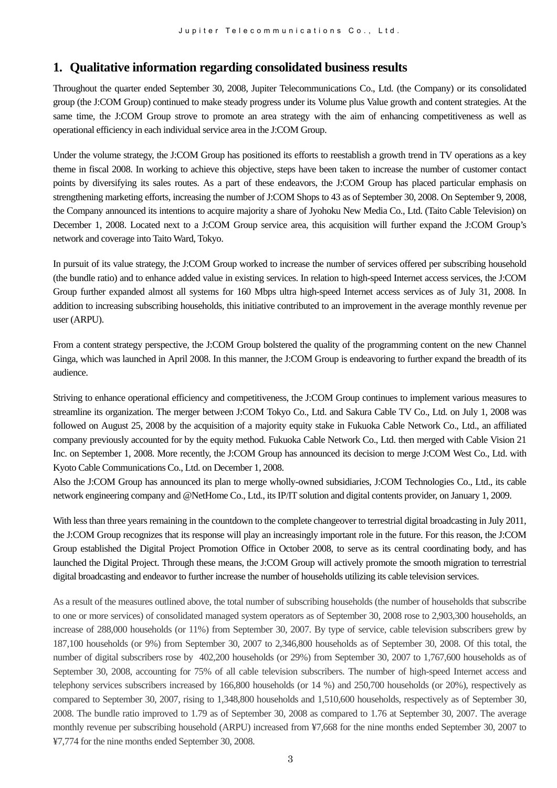# **1. Qualitative information regarding consolidated business results**

Throughout the quarter ended September 30, 2008, Jupiter Telecommunications Co., Ltd. (the Company) or its consolidated group (the J:COM Group) continued to make steady progress under its Volume plus Value growth and content strategies. At the same time, the J:COM Group strove to promote an area strategy with the aim of enhancing competitiveness as well as operational efficiency in each individual service area in the J:COM Group.

Under the volume strategy, the J:COM Group has positioned its efforts to reestablish a growth trend in TV operations as a key theme in fiscal 2008. In working to achieve this objective, steps have been taken to increase the number of customer contact points by diversifying its sales routes. As a part of these endeavors, the J:COM Group has placed particular emphasis on strengthening marketing efforts, increasing the number of J:COM Shops to 43 as of September 30, 2008. On September 9, 2008, the Company announced its intentions to acquire majority a share of Jyohoku New Media Co., Ltd. (Taito Cable Television) on December 1, 2008. Located next to a J:COM Group service area, this acquisition will further expand the J:COM Group's network and coverage into Taito Ward, Tokyo.

In pursuit of its value strategy, the J:COM Group worked to increase the number of services offered per subscribing household (the bundle ratio) and to enhance added value in existing services. In relation to high-speed Internet access services, the J:COM Group further expanded almost all systems for 160 Mbps ultra high-speed Internet access services as of July 31, 2008. In addition to increasing subscribing households, this initiative contributed to an improvement in the average monthly revenue per user (ARPU).

From a content strategy perspective, the J:COM Group bolstered the quality of the programming content on the new Channel Ginga, which was launched in April 2008. In this manner, the J:COM Group is endeavoring to further expand the breadth of its audience.

Striving to enhance operational efficiency and competitiveness, the J:COM Group continues to implement various measures to streamline its organization. The merger between J:COM Tokyo Co., Ltd. and Sakura Cable TV Co., Ltd. on July 1, 2008 was followed on August 25, 2008 by the acquisition of a majority equity stake in Fukuoka Cable Network Co., Ltd., an affiliated company previously accounted for by the equity method. Fukuoka Cable Network Co., Ltd. then merged with Cable Vision 21 Inc. on September 1, 2008. More recently, the J:COM Group has announced its decision to merge J:COM West Co., Ltd. with Kyoto Cable Communications Co., Ltd. on December 1, 2008.

Also the J:COM Group has announced its plan to merge wholly-owned subsidiaries, J:COM Technologies Co., Ltd., its cable network engineering company and @NetHome Co., Ltd., its IP/IT solution and digital contents provider, on January 1, 2009.

With less than three years remaining in the countdown to the complete changeover to terrestrial digital broadcasting in July 2011, the J:COM Group recognizes that its response will play an increasingly important role in the future. For this reason, the J:COM Group established the Digital Project Promotion Office in October 2008, to serve as its central coordinating body, and has launched the Digital Project. Through these means, the J:COM Group will actively promote the smooth migration to terrestrial digital broadcasting and endeavor to further increase the number of households utilizing its cable television services.

As a result of the measures outlined above, the total number of subscribing households (the number of households that subscribe to one or more services) of consolidated managed system operators as of September 30, 2008 rose to 2,903,300 households, an increase of 288,000 households (or 11%) from September 30, 2007. By type of service, cable television subscribers grew by 187,100 households (or 9%) from September 30, 2007 to 2,346,800 households as of September 30, 2008. Of this total, the number of digital subscribers rose by 402,200 households (or 29%) from September 30, 2007 to 1,767,600 households as of September 30, 2008, accounting for 75% of all cable television subscribers. The number of high-speed Internet access and telephony services subscribers increased by 166,800 households (or 14 %) and 250,700 households (or 20%), respectively as compared to September 30, 2007, rising to 1,348,800 households and 1,510,600 households, respectively as of September 30, 2008. The bundle ratio improved to 1.79 as of September 30, 2008 as compared to 1.76 at September 30, 2007. The average monthly revenue per subscribing household (ARPU) increased from ¥7,668 for the nine months ended September 30, 2007 to ¥7,774 for the nine months ended September 30, 2008.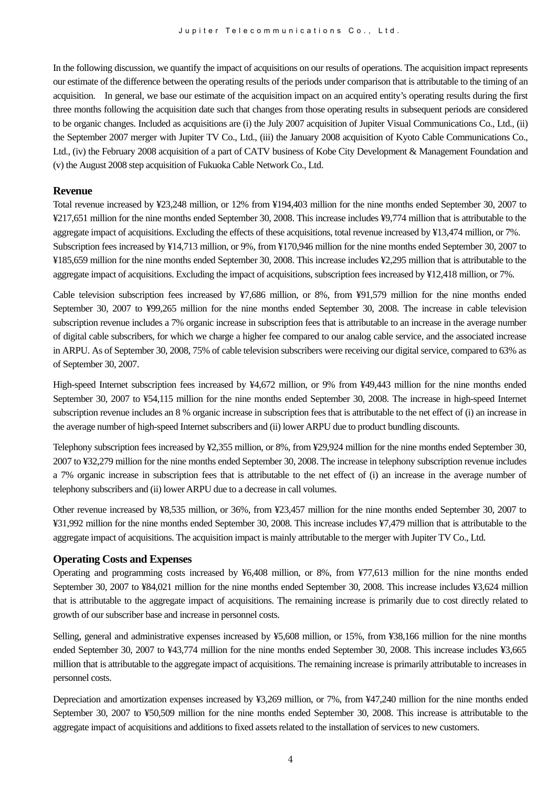In the following discussion, we quantify the impact of acquisitions on our results of operations. The acquisition impact represents our estimate of the difference between the operating results of the periods under comparison that is attributable to the timing of an acquisition. In general, we base our estimate of the acquisition impact on an acquired entity's operating results during the first three months following the acquisition date such that changes from those operating results in subsequent periods are considered to be organic changes. Included as acquisitions are (i) the July 2007 acquisition of Jupiter Visual Communications Co., Ltd., (ii) the September 2007 merger with Jupiter TV Co., Ltd., (iii) the January 2008 acquisition of Kyoto Cable Communications Co., Ltd., (iv) the February 2008 acquisition of a part of CATV business of Kobe City Development & Management Foundation and (v) the August 2008 step acquisition of Fukuoka Cable Network Co., Ltd.

#### **Revenue**

Total revenue increased by ¥23,248 million, or 12% from ¥194,403 million for the nine months ended September 30, 2007 to ¥217,651 million for the nine months ended September 30, 2008. This increase includes ¥9,774 million that is attributable to the aggregate impact of acquisitions. Excluding the effects of these acquisitions, total revenue increased by ¥13,474 million, or 7%. Subscription fees increased by ¥14,713 million, or 9%, from ¥170,946 million for the nine months ended September 30, 2007 to ¥185,659 million for the nine months ended September 30, 2008. This increase includes ¥2,295 million that is attributable to the aggregate impact of acquisitions. Excluding the impact of acquisitions, subscription fees increased by ¥12,418 million, or 7%.

Cable television subscription fees increased by ¥7,686 million, or 8%, from ¥91,579 million for the nine months ended September 30, 2007 to ¥99,265 million for the nine months ended September 30, 2008. The increase in cable television subscription revenue includes a 7% organic increase in subscription fees that is attributable to an increase in the average number of digital cable subscribers, for which we charge a higher fee compared to our analog cable service, and the associated increase in ARPU. As of September 30, 2008, 75% of cable television subscribers were receiving our digital service, compared to 63% as of September 30, 2007.

High-speed Internet subscription fees increased by ¥4,672 million, or 9% from ¥49,443 million for the nine months ended September 30, 2007 to ¥54,115 million for the nine months ended September 30, 2008. The increase in high-speed Internet subscription revenue includes an 8 % organic increase in subscription fees that is attributable to the net effect of (i) an increase in the average number of high-speed Internet subscribers and (ii) lower ARPU due to product bundling discounts.

Telephony subscription fees increased by ¥2,355 million, or 8%, from ¥29,924 million for the nine months ended September 30, 2007 to ¥32,279 million for the nine months ended September 30, 2008. The increase in telephony subscription revenue includes a 7% organic increase in subscription fees that is attributable to the net effect of (i) an increase in the average number of telephony subscribers and (ii) lower ARPU due to a decrease in call volumes.

Other revenue increased by ¥8,535 million, or 36%, from ¥23,457 million for the nine months ended September 30, 2007 to ¥31,992 million for the nine months ended September 30, 2008. This increase includes ¥7,479 million that is attributable to the aggregate impact of acquisitions. The acquisition impact is mainly attributable to the merger with Jupiter TV Co., Ltd.

#### **Operating Costs and Expenses**

Operating and programming costs increased by ¥6,408 million, or 8%, from ¥77,613 million for the nine months ended September 30, 2007 to ¥84,021 million for the nine months ended September 30, 2008. This increase includes ¥3,624 million that is attributable to the aggregate impact of acquisitions. The remaining increase is primarily due to cost directly related to growth of our subscriber base and increase in personnel costs.

Selling, general and administrative expenses increased by ¥5,608 million, or 15%, from ¥38,166 million for the nine months ended September 30, 2007 to ¥43,774 million for the nine months ended September 30, 2008. This increase includes ¥3,665 million that is attributable to the aggregate impact of acquisitions. The remaining increase is primarily attributable to increases in personnel costs.

Depreciation and amortization expenses increased by ¥3,269 million, or 7%, from ¥47,240 million for the nine months ended September 30, 2007 to ¥50,509 million for the nine months ended September 30, 2008. This increase is attributable to the aggregate impact of acquisitions and additions to fixed assets related to the installation of services to new customers.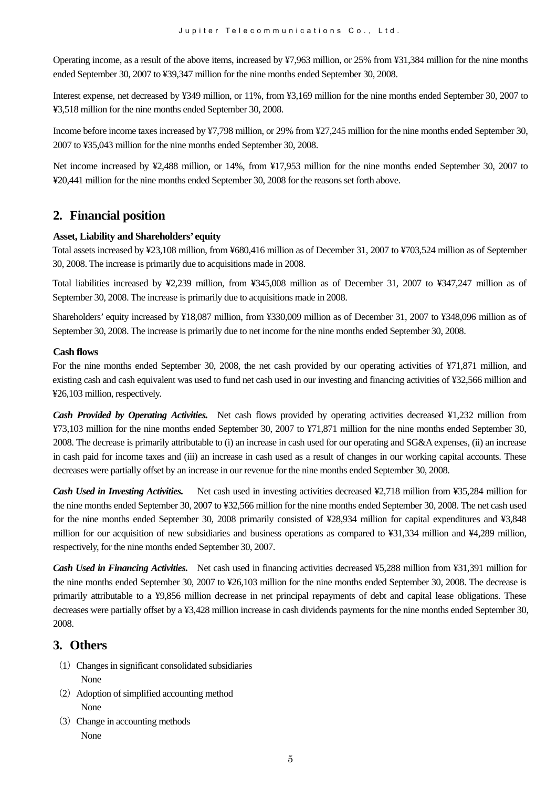Operating income, as a result of the above items, increased by ¥7,963 million, or 25% from ¥31,384 million for the nine months ended September 30, 2007 to ¥39,347 million for the nine months ended September 30, 2008.

Interest expense, net decreased by ¥349 million, or 11%, from ¥3,169 million for the nine months ended September 30, 2007 to ¥3,518 million for the nine months ended September 30, 2008.

Income before income taxes increased by ¥7,798 million, or 29% from ¥27,245 million for the nine months ended September 30, 2007 to ¥35,043 million for the nine months ended September 30, 2008.

Net income increased by ¥2,488 million, or 14%, from ¥17,953 million for the nine months ended September 30, 2007 to ¥20,441 million for the nine months ended September 30, 2008 for the reasons set forth above.

# **2. Financial position**

#### **Asset, Liability and Shareholders' equity**

Total assets increased by ¥23,108 million, from ¥680,416 million as of December 31, 2007 to ¥703,524 million as of September 30, 2008. The increase is primarily due to acquisitions made in 2008.

Total liabilities increased by ¥2,239 million, from ¥345,008 million as of December 31, 2007 to ¥347,247 million as of September 30, 2008. The increase is primarily due to acquisitions made in 2008.

Shareholders' equity increased by ¥18,087 million, from ¥330,009 million as of December 31, 2007 to ¥348,096 million as of September 30, 2008. The increase is primarily due to net income for the nine months ended September 30, 2008.

#### **Cash flows**

For the nine months ended September 30, 2008, the net cash provided by our operating activities of ¥71,871 million, and existing cash and cash equivalent was used to fund net cash used in our investing and financing activities of ¥32,566 million and ¥26,103 million, respectively.

*Cash Provided by Operating Activities.* Net cash flows provided by operating activities decreased ¥1,232 million from ¥73,103 million for the nine months ended September 30, 2007 to ¥71,871 million for the nine months ended September 30, 2008. The decrease is primarily attributable to (i) an increase in cash used for our operating and SG&A expenses, (ii) an increase in cash paid for income taxes and (iii) an increase in cash used as a result of changes in our working capital accounts. These decreases were partially offset by an increase in our revenue for the nine months ended September 30, 2008.

*Cash Used in Investing Activities.* Net cash used in investing activities decreased ¥2,718 million from ¥35,284 million for the nine months ended September 30, 2007 to ¥32,566 million for the nine months ended September 30, 2008. The net cash used for the nine months ended September 30, 2008 primarily consisted of ¥28,934 million for capital expenditures and ¥3,848 million for our acquisition of new subsidiaries and business operations as compared to ¥31,334 million and ¥4,289 million, respectively, for the nine months ended September 30, 2007.

*Cash Used in Financing Activities.* Net cash used in financing activities decreased ¥5,288 million from ¥31,391 million for the nine months ended September 30, 2007 to ¥26,103 million for the nine months ended September 30, 2008. The decrease is primarily attributable to a ¥9,856 million decrease in net principal repayments of debt and capital lease obligations. These decreases were partially offset by a ¥3,428 million increase in cash dividends payments for the nine months ended September 30, 2008.

# **3. Others**

- (1) Changes in significant consolidated subsidiaries None
- $(2)$  Adoption of simplified accounting method None
- (3) Change in accounting methods None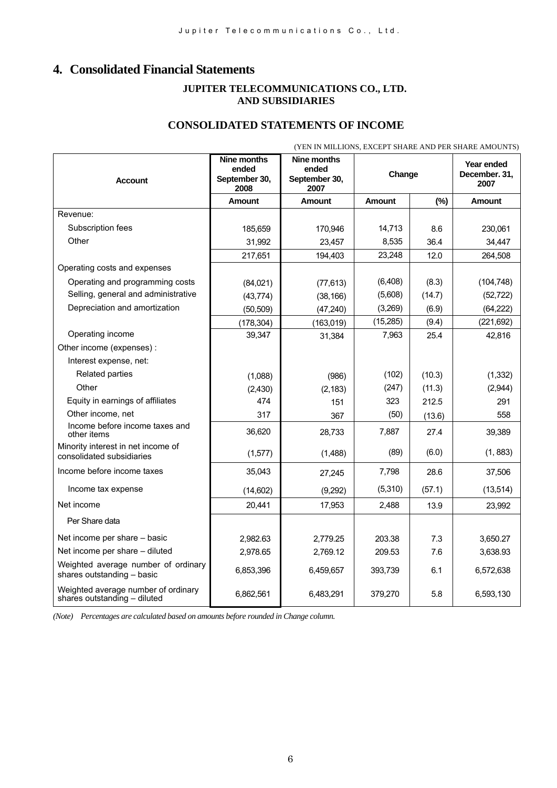# **4. Consolidated Financial Statements**

#### **JUPITER TELECOMMUNICATIONS CO., LTD. AND SUBSIDIARIES**

# **CONSOLIDATED STATEMENTS OF INCOME**

|                                                                     | (YEN IN MILLIONS, EXCEPT SHARE AND PER SHARE AMOUNTS) |                                                      |               |        |                                     |  |
|---------------------------------------------------------------------|-------------------------------------------------------|------------------------------------------------------|---------------|--------|-------------------------------------|--|
| <b>Account</b>                                                      | <b>Nine months</b><br>ended<br>September 30,<br>2008  | <b>Nine months</b><br>ended<br>September 30,<br>2007 | Change        |        | Year ended<br>December, 31.<br>2007 |  |
|                                                                     | <b>Amount</b>                                         | <b>Amount</b>                                        | <b>Amount</b> | (%)    | <b>Amount</b>                       |  |
| Revenue:                                                            |                                                       |                                                      |               |        |                                     |  |
| Subscription fees                                                   | 185,659                                               | 170,946                                              | 14,713        | 8.6    | 230,061                             |  |
| Other                                                               | 31.992                                                | 23,457                                               | 8,535         | 36.4   | 34,447                              |  |
|                                                                     | 217,651                                               | 194,403                                              | 23,248        | 12.0   | 264,508                             |  |
| Operating costs and expenses                                        |                                                       |                                                      |               |        |                                     |  |
| Operating and programming costs                                     | (84,021)                                              | (77, 613)                                            | (6, 408)      | (8.3)  | (104, 748)                          |  |
| Selling, general and administrative                                 | (43, 774)                                             | (38, 166)                                            | (5,608)       | (14.7) | (52, 722)                           |  |
| Depreciation and amortization                                       | (50, 509)                                             | (47, 240)                                            | (3,269)       | (6.9)  | (64, 222)                           |  |
|                                                                     | (178, 304)                                            | (163,019)                                            | (15, 285)     | (9.4)  | (221, 692)                          |  |
| Operating income                                                    | 39,347                                                | 31,384                                               | 7,963         | 25.4   | 42,816                              |  |
| Other income (expenses) :                                           |                                                       |                                                      |               |        |                                     |  |
| Interest expense, net:                                              |                                                       |                                                      |               |        |                                     |  |
| Related parties                                                     | (1,088)                                               | (986)                                                | (102)         | (10.3) | (1, 332)                            |  |
| Other                                                               | (2, 430)                                              | (2, 183)                                             | (247)         | (11.3) | (2,944)                             |  |
| Equity in earnings of affiliates                                    | 474                                                   | 151                                                  | 323           | 212.5  | 291                                 |  |
| Other income, net                                                   | 317                                                   | 367                                                  | (50)          | (13.6) | 558                                 |  |
| Income before income taxes and<br>other items                       | 36,620                                                | 28,733                                               | 7,887         | 27.4   | 39,389                              |  |
| Minority interest in net income of<br>consolidated subsidiaries     | (1,577)                                               | (1,488)                                              | (89)          | (6.0)  | (1, 883)                            |  |
| Income before income taxes                                          | 35,043                                                | 27,245                                               | 7,798         | 28.6   | 37,506                              |  |
| Income tax expense                                                  | (14,602)                                              | (9,292)                                              | (5,310)       | (57.1) | (13, 514)                           |  |
| Net income                                                          | 20,441                                                | 17,953                                               | 2,488         | 13.9   | 23,992                              |  |
| Per Share data                                                      |                                                       |                                                      |               |        |                                     |  |
| Net income per share - basic                                        | 2.982.63                                              | 2.779.25                                             | 203.38        | 7.3    | 3.650.27                            |  |
| Net income per share - diluted                                      | 2,978.65                                              | 2,769.12                                             | 209.53        | 7.6    | 3,638.93                            |  |
| Weighted average number of ordinary<br>shares outstanding - basic   | 6,853,396                                             | 6,459,657                                            | 393,739       | 6.1    | 6,572,638                           |  |
| Weighted average number of ordinary<br>shares outstanding - diluted | 6,862,561                                             | 6,483,291                                            | 379,270       | 5.8    | 6,593,130                           |  |

*(Note) Percentages are calculated based on amounts before rounded in Change column.*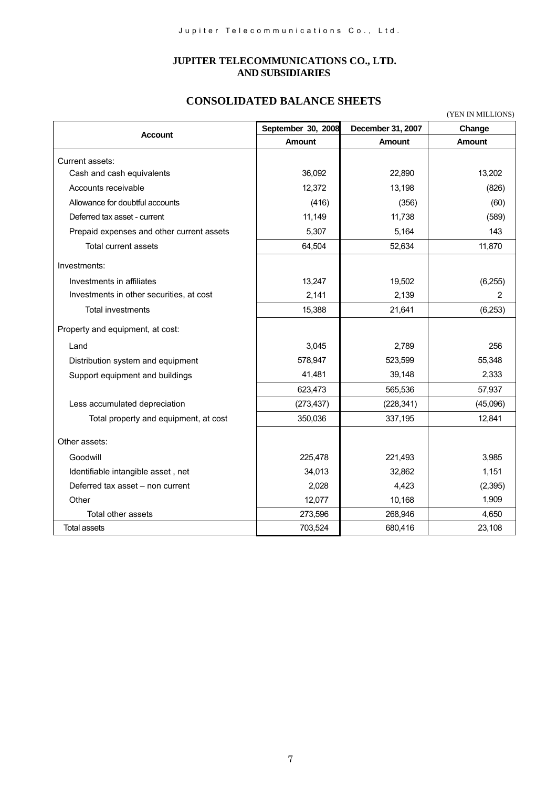#### **JUPITER TELECOMMUNICATIONS CO., LTD. AND SUBSIDIARIES**

# **CONSOLIDATED BALANCE SHEETS**

(YEN IN MILLIONS)

| <b>Account</b>                            | September 30, 2008 | December 31, 2007 | Change        |
|-------------------------------------------|--------------------|-------------------|---------------|
|                                           | <b>Amount</b>      | Amount            | <b>Amount</b> |
| Current assets:                           |                    |                   |               |
| Cash and cash equivalents                 | 36,092             | 22,890            | 13,202        |
| Accounts receivable                       | 12,372             | 13,198            | (826)         |
| Allowance for doubtful accounts           | (416)              | (356)             | (60)          |
| Deferred tax asset - current              | 11,149             | 11,738            | (589)         |
| Prepaid expenses and other current assets | 5,307              | 5,164             | 143           |
| Total current assets                      | 64,504             | 52,634            | 11,870        |
| Investments:                              |                    |                   |               |
| Investments in affiliates                 | 13,247             | 19,502            | (6, 255)      |
| Investments in other securities, at cost  | 2,141              | 2,139             | 2             |
| Total investments                         | 15,388             | 21,641            | (6, 253)      |
| Property and equipment, at cost:          |                    |                   |               |
| Land                                      | 3,045              | 2.789             | 256           |
| Distribution system and equipment         | 578,947            | 523,599           | 55,348        |
| Support equipment and buildings           | 41,481             | 39,148            | 2,333         |
|                                           | 623,473            | 565,536           | 57,937        |
| Less accumulated depreciation             | (273, 437)         | (228, 341)        | (45,096)      |
| Total property and equipment, at cost     | 350,036            | 337,195           | 12,841        |
| Other assets:                             |                    |                   |               |
| Goodwill                                  | 225,478            | 221,493           | 3,985         |
| Identifiable intangible asset, net        | 34,013             | 32,862            | 1,151         |
| Deferred tax asset - non current          | 2,028              | 4,423             | (2, 395)      |
| Other                                     | 12,077             | 10,168            | 1,909         |
| Total other assets                        | 273,596            | 268,946           | 4,650         |
| <b>Total assets</b>                       | 703,524            | 680,416           | 23,108        |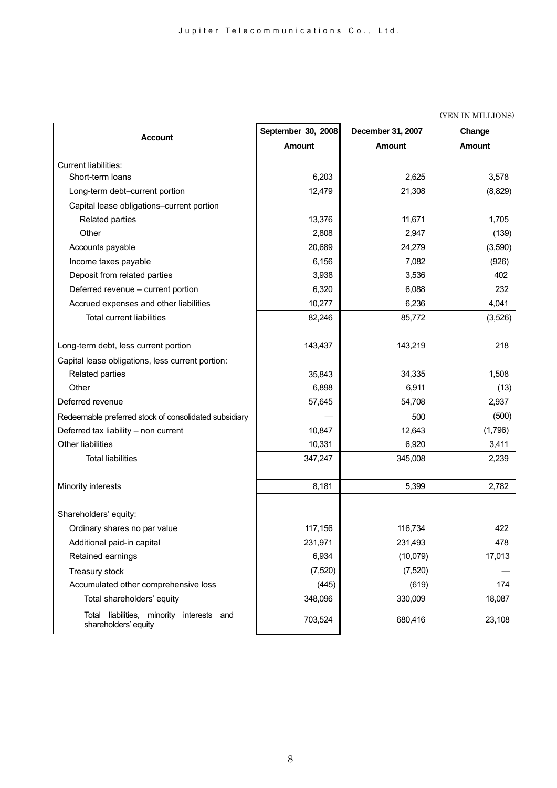| <b>Account</b>                                                             | September 30, 2008 | December 31, 2007 | Change        |
|----------------------------------------------------------------------------|--------------------|-------------------|---------------|
|                                                                            | <b>Amount</b>      | <b>Amount</b>     | <b>Amount</b> |
| Current liabilities:                                                       |                    |                   |               |
| Short-term loans                                                           | 6,203              | 2,625             | 3,578         |
| Long-term debt-current portion                                             | 12,479             | 21,308            | (8,829)       |
| Capital lease obligations-current portion                                  |                    |                   |               |
| Related parties                                                            | 13,376             | 11,671            | 1,705         |
| Other                                                                      | 2,808              | 2,947             | (139)         |
| Accounts payable                                                           | 20,689             | 24,279            | (3,590)       |
| Income taxes payable                                                       | 6,156              | 7,082             | (926)         |
| Deposit from related parties                                               | 3,938              | 3,536             | 402           |
| Deferred revenue - current portion                                         | 6,320              | 6,088             | 232           |
| Accrued expenses and other liabilities                                     | 10,277             | 6,236             | 4,041         |
| <b>Total current liabilities</b>                                           | 82,246             | 85,772            | (3,526)       |
|                                                                            |                    |                   |               |
| Long-term debt, less current portion                                       | 143,437            | 143,219           | 218           |
| Capital lease obligations, less current portion:                           |                    |                   |               |
| Related parties                                                            | 35,843             | 34,335            | 1,508         |
| Other                                                                      | 6,898              | 6,911             | (13)          |
| Deferred revenue                                                           | 57,645             | 54,708            | 2,937         |
| Redeemable preferred stock of consolidated subsidiary                      |                    | 500               | (500)         |
| Deferred tax liability - non current                                       | 10,847             | 12,643            | (1,796)       |
| Other liabilities                                                          | 10,331             | 6,920             | 3,411         |
| <b>Total liabilities</b>                                                   | 347,247            | 345,008           | 2,239         |
|                                                                            |                    |                   |               |
| Minority interests                                                         | 8,181              | 5,399             | 2,782         |
|                                                                            |                    |                   |               |
| Shareholders' equity:                                                      |                    |                   |               |
| Ordinary shares no par value                                               | 117,156            | 116,734           | 422           |
| Additional paid-in capital                                                 | 231,971            | 231,493           | 478           |
| Retained earnings                                                          | 6,934              | (10,079)          | 17,013        |
| Treasury stock                                                             | (7, 520)           | (7, 520)          |               |
| Accumulated other comprehensive loss                                       | (445)              | (619)             | 174           |
| Total shareholders' equity                                                 | 348,096            | 330,009           | 18,087        |
| liabilities, minority<br>interests<br>Total<br>and<br>shareholders' equity | 703,524            | 680,416           | 23,108        |

(YEN IN MILLIONS)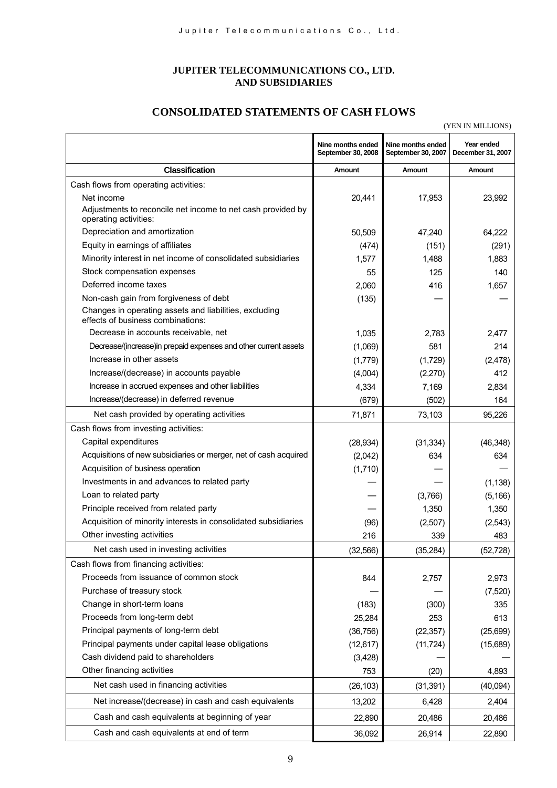### **JUPITER TELECOMMUNICATIONS CO., LTD. AND SUBSIDIARIES**

# **CONSOLIDATED STATEMENTS OF CASH FLOWS**

(YEN IN MILLIONS)

|                                                                                             |                                         |                                         | (TELL ILL MILLION)              |
|---------------------------------------------------------------------------------------------|-----------------------------------------|-----------------------------------------|---------------------------------|
|                                                                                             | Nine months ended<br>September 30, 2008 | Nine months ended<br>September 30, 2007 | Year ended<br>December 31, 2007 |
| <b>Classification</b>                                                                       | <b>Amount</b>                           | Amount                                  | Amount                          |
| Cash flows from operating activities:                                                       |                                         |                                         |                                 |
| Net income                                                                                  | 20,441                                  | 17,953                                  | 23,992                          |
| Adjustments to reconcile net income to net cash provided by<br>operating activities:        |                                         |                                         |                                 |
| Depreciation and amortization                                                               | 50,509                                  | 47,240                                  | 64,222                          |
| Equity in earnings of affiliates                                                            | (474)                                   | (151)                                   | (291)                           |
| Minority interest in net income of consolidated subsidiaries                                | 1,577                                   | 1,488                                   | 1,883                           |
| Stock compensation expenses                                                                 | 55                                      | 125                                     | 140                             |
| Deferred income taxes                                                                       | 2,060                                   | 416                                     | 1,657                           |
| Non-cash gain from forgiveness of debt                                                      | (135)                                   |                                         |                                 |
| Changes in operating assets and liabilities, excluding<br>effects of business combinations: |                                         |                                         |                                 |
| Decrease in accounts receivable, net                                                        | 1,035                                   | 2.783                                   | 2.477                           |
| Decrease/(increase)in prepaid expenses and other current assets                             | (1,069)                                 | 581                                     | 214                             |
| Increase in other assets                                                                    | (1,779)                                 | (1,729)                                 | (2, 478)                        |
| Increase/(decrease) in accounts payable                                                     | (4,004)                                 | (2,270)                                 | 412                             |
| Increase in accrued expenses and other liabilities                                          | 4,334                                   | 7,169                                   | 2,834                           |
| Increase/(decrease) in deferred revenue                                                     | (679)                                   | (502)                                   | 164                             |
| Net cash provided by operating activities                                                   | 71,871                                  | 73,103                                  | 95,226                          |
| Cash flows from investing activities:                                                       |                                         |                                         |                                 |
| Capital expenditures                                                                        | (28, 934)                               | (31, 334)                               | (46, 348)                       |
| Acquisitions of new subsidiaries or merger, net of cash acquired                            | (2,042)                                 | 634                                     | 634                             |
| Acquisition of business operation                                                           | (1,710)                                 |                                         |                                 |
| Investments in and advances to related party                                                |                                         |                                         | (1, 138)                        |
| Loan to related party                                                                       |                                         | (3,766)                                 | (5, 166)                        |
| Principle received from related party                                                       |                                         | 1,350                                   | 1,350                           |
| Acquisition of minority interests in consolidated subsidiaries                              | (96)                                    | (2,507)                                 | (2,543)                         |
| Other investing activities                                                                  | 216                                     | 339                                     | 483                             |
| Net cash used in investing activities                                                       | (32, 566)                               | (35, 284)                               | (52, 728)                       |
| Cash flows from financing activities:                                                       |                                         |                                         |                                 |
| Proceeds from issuance of common stock                                                      | 844                                     | 2,757                                   | 2,973                           |
| Purchase of treasury stock                                                                  |                                         |                                         | (7, 520)                        |
| Change in short-term loans                                                                  | (183)                                   | (300)                                   | 335                             |
| Proceeds from long-term debt                                                                | 25,284                                  | 253                                     | 613                             |
| Principal payments of long-term debt                                                        | (36, 756)                               | (22, 357)                               | (25, 699)                       |
| Principal payments under capital lease obligations                                          | (12, 617)                               | (11, 724)                               | (15,689)                        |
| Cash dividend paid to shareholders                                                          | (3, 428)                                |                                         |                                 |
| Other financing activities                                                                  | 753                                     | (20)                                    | 4,893                           |
| Net cash used in financing activities                                                       | (26, 103)                               | (31, 391)                               | (40,094)                        |
| Net increase/(decrease) in cash and cash equivalents                                        | 13,202                                  | 6,428                                   | 2,404                           |
| Cash and cash equivalents at beginning of year                                              | 22,890                                  | 20,486                                  | 20,486                          |
| Cash and cash equivalents at end of term                                                    | 36,092                                  | 26,914                                  | 22,890                          |